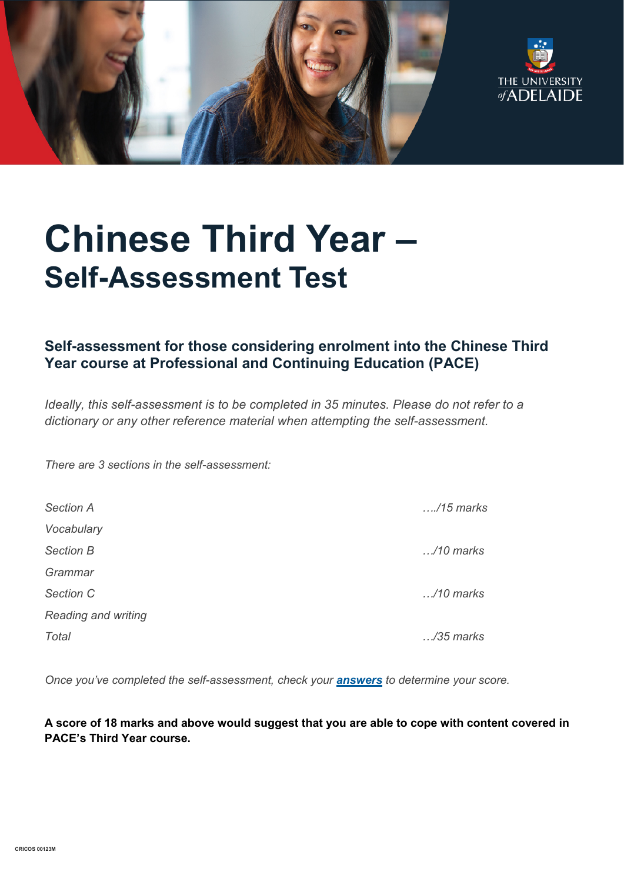



# **Chinese Third Year – Self-Assessment Test**

## **Self-assessment for those considering enrolment into the Chinese Third Year course at Professional and Continuing Education (PACE)**

*Ideally, this self-assessment is to be completed in 35 minutes. Please do not refer to a dictionary or any other reference material when attempting the self-assessment.*

*There are 3 sections in the self-assessment:*

| <b>Section A</b>    | $\dots$ /15 marks  |
|---------------------|--------------------|
| Vocabulary          |                    |
| <b>Section B</b>    | $\ldots$ /10 marks |
| Grammar             |                    |
| Section C           | $\ldots$ /10 marks |
| Reading and writing |                    |
| Total               | $\ldots$ /35 marks |

*Once you've completed the self-assessment, check your [answers](https://www.adelaide.edu.au/pace/system/files/media/documents/2021-11/placement_test-chinese_year_3_answers_1.pdf) to determine your score.*

**A score of 18 marks and above would suggest that you are able to cope with content covered in PACE's Third Year course.**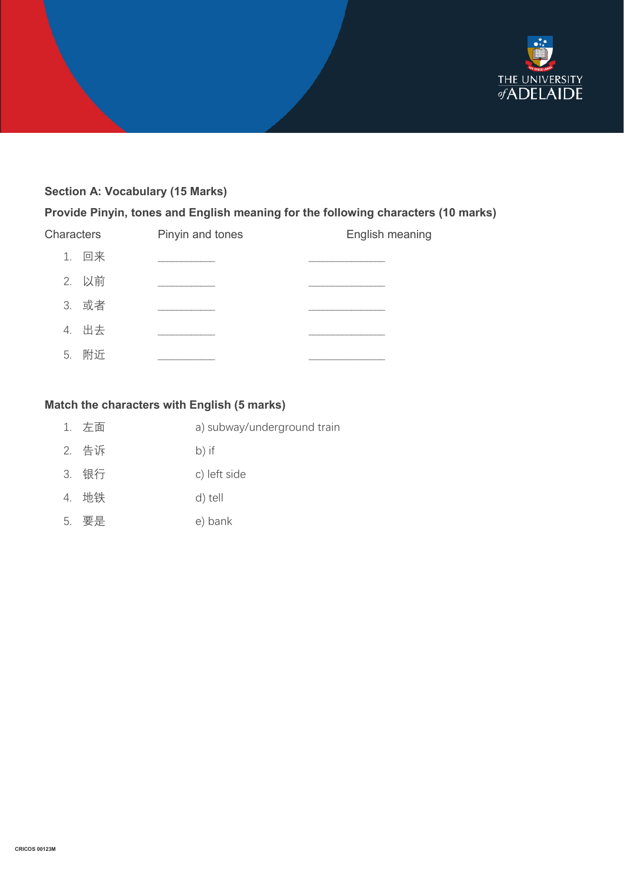

## **Section A: Vocabulary (15 Marks)**

#### **Provide Pinyin, tones and English meaning for the following characters (10 marks)**

| 1. 回来 | English meaning |
|-------|-----------------|
|       |                 |
| 2. 以前 |                 |
| 3. 或者 |                 |
| 4. 出去 |                 |
| 5. 附近 |                 |

### **Match the characters with English (5 marks)**

- 1. 左面 a) subway/underground train
- 2. 告诉 b) if
- 3. 银行 c) left side
- 4. 地铁 d) tell
- 5. 要是 e) bank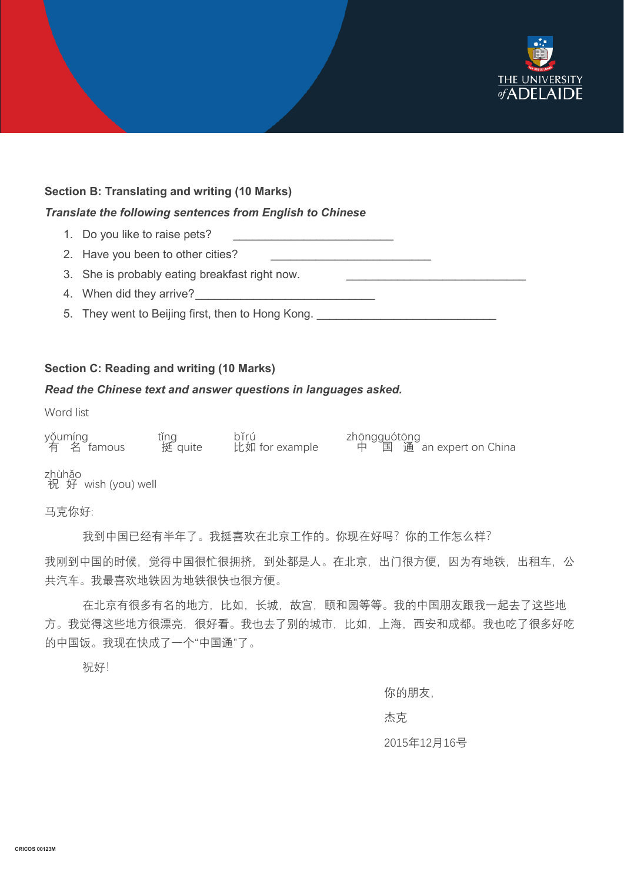

#### **Section B: Translating and writing (10 Marks)**

#### *Translate the following sentences from English to Chinese*

- 1. Do you like to raise pets?
- 2. Have you been to other cities?
- 3. She is probably eating breakfast right now.
- 4. When did they arrive?
- 5. They went to Beijing first, then to Hong Kong.

#### **Section C: Reading and writing (10 Marks)**

#### *Read the Chinese text and answer questions in languages asked.*

Word list

| yǒumíng<br>有 名 famous | tǐng<br>挺 quite | hřrú<br>比如 for example | zhōngguótōng<br>中 国 通 |
|-----------------------|-----------------|------------------------|-----------------------|
|                       |                 |                        |                       |

an expert on China

祝 zhù 好 hǎo wish (you) well

马克你好:

我到中国已经有半年了。我挺喜欢在北京工作的。你现在好吗?你的工作怎么样?

我刚到中国的时候,觉得中国很忙很拥挤,到处都是人。在北京,出门很方便,因为有地铁,出租车,公 共汽车。我最喜欢地铁因为地铁很快也很方便。

在北京有很多有名的地方,比如,长城,故宫,颐和园等等。我的中国朋友跟我一起去了这些地 方。我觉得这些地方很漂亮,很好看。我也去了别的城市,比如,上海,西安和成都。我也吃了很多好吃 的中国饭。我现在快成了一个"中国通"了。

祝好!

你的朋友,

杰克

#### 2015年12月16号